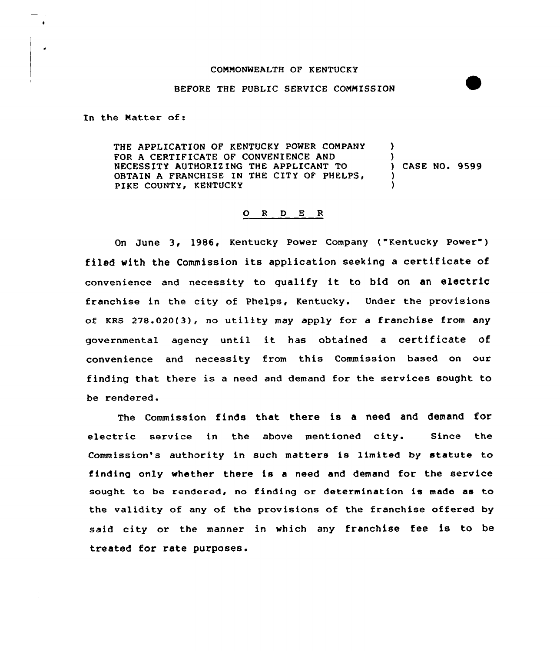## COMMONWEALTH OF KENTUCKY

## BEFORE THE PUBLIC SERVICE COMMISSION

In the Matter of:

THE APPLICATION OF KENTUCKY POWER COMPANY FOR A CERTIFICATE OF CONVENIENCE AND NECESSITY AUTHORIEING THE APPLICANT TO OBTAIN A FRANCHISE IN THE CITY OF PHELPS, PIKE COUNTY, KENTUCKY ) ) ) CASE NO. 9599 ) )

## 0 <sup>R</sup> <sup>D</sup> <sup>E</sup> <sup>R</sup>

On June 3, 1986, Kentucky Power Company ("Kentucky Power" ) filed with the Commission its application seeking <sup>a</sup> certificate of convenience and necessity to qualify it to bid on an electric franchise in the city of Phelps, Kentucky. Under the provisions of KRS 27S.020(3), no utility may apply for <sup>a</sup> franchise from any governmental agency until it has obtained <sup>a</sup> certificate of convenience and necessity from this Commission based on our finding that there is <sup>a</sup> need and demand for the services sought to be rendered.

The Commission finds that there is a need and demand for electric service in the above mentioned city. Since the Commission's authority in such matters is limited by statute to finding only whether there is a need and demand for the service sought to be rendered, no finding or determination is made as to the validity of any of the provisions of the franchise offered by said city or the manner in which any franchise fee is to be treated for rate purposes.